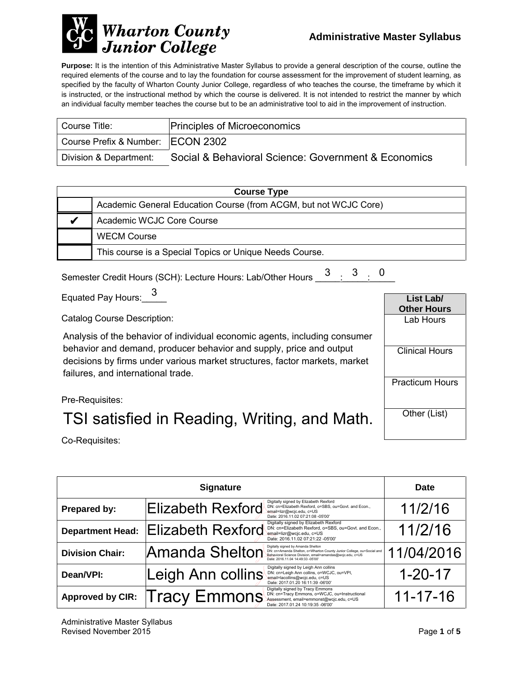

**Purpose:** It is the intention of this Administrative Master Syllabus to provide a general description of the course, outline the required elements of the course and to lay the foundation for course assessment for the improvement of student learning, as specified by the faculty of Wharton County Junior College, regardless of who teaches the course, the timeframe by which it is instructed, or the instructional method by which the course is delivered. It is not intended to restrict the manner by which an individual faculty member teaches the course but to be an administrative tool to aid in the improvement of instruction.

| Course Title:                     | <b>Principles of Microeconomics</b>                 |
|-----------------------------------|-----------------------------------------------------|
| Course Prefix & Number: ECON 2302 |                                                     |
| Division & Department:            | Social & Behavioral Science: Government & Economics |

| <b>Course Type</b>                                               |  |  |
|------------------------------------------------------------------|--|--|
| Academic General Education Course (from ACGM, but not WCJC Core) |  |  |
| Academic WCJC Core Course                                        |  |  |
| <b>WECM Course</b>                                               |  |  |
| This course is a Special Topics or Unique Needs Course.          |  |  |

Semester Credit Hours (SCH): Lecture Hours: Lab/Other Hours  $\begin{array}{@{}ll} \text{3} & \text{3} & \text{0} \ \text{5} & \text{2} & \text{2} \ \end{array}$ 

Equated Pay Hours:  $\frac{3}{2}$ 

Catalog Course Description:

Analysis of the behavior of individual economic agents, including consumer behavior and demand, producer behavior and supply, price and output decisions by firms under various market structures, factor markets, market failures, and international trade.



Pre-Requisites:

# TSI satisfied in Reading, Writing, and Math.

Co-Requisites:

| <b>Signature</b>        |                          |                                                                                                                                                                                                               | <b>Date</b>    |
|-------------------------|--------------------------|---------------------------------------------------------------------------------------------------------------------------------------------------------------------------------------------------------------|----------------|
| Prepared by:            | Elizabeth Rexford        | Digitally signed by Elizabeth Rexford<br>DN: cn=Elizabeth Rexford, o=SBS, ou=Govt. and Econ.,<br>email=lizr@wcjc.edu, c=US<br>Date: 2016.11.02 07:21:08 -05'00'                                               | 11/2/16        |
| <b>Department Head:</b> | <b>Elizabeth Rexford</b> | Digitally signed by Elizabeth Rexford<br>DN: cn=Elizabeth Rexford, o=SBS, ou=Govt. and Econ.,<br>email=lizr@wcjc.edu, c=US<br>Date: 2016.11.02 07:21:22 -05'00'                                               | 11/2/16        |
| <b>Division Chair:</b>  | Amanda Shelton           | Digitally signed by Amanda Shelton<br>DN: cn=Amanda Shelton, o=Wharton County Junior College, ou=Social and<br>Behavioral Science Division, email=amandas@wcjc.edu, c=US<br>Date: 2016.11.04 14:49:33 -05'00" | 11/04/2016     |
| Dean/VPI:               | Leigh Ann collins        | Digitally signed by Leigh Ann collins<br>DN: cn=Leigh Ann collins, o=WCJC, ou=VPI,<br>email=lacollins@wcjc.edu, c=US<br>Date: 2017.01.20 16:11:39 -06'00'                                                     | $1 - 20 - 17$  |
| <b>Approved by CIR:</b> | <b>Tracy Emmons</b>      | Digitally signed by Tracy Emmons<br>DN: cn=Tracy Emmons, o=WCJC, ou=Instructional<br>Assessment, email=emmonst@wcjc.edu, c=US<br>Date: 2017.01.24 10:19:35 -06'00'                                            | $11 - 17 - 16$ |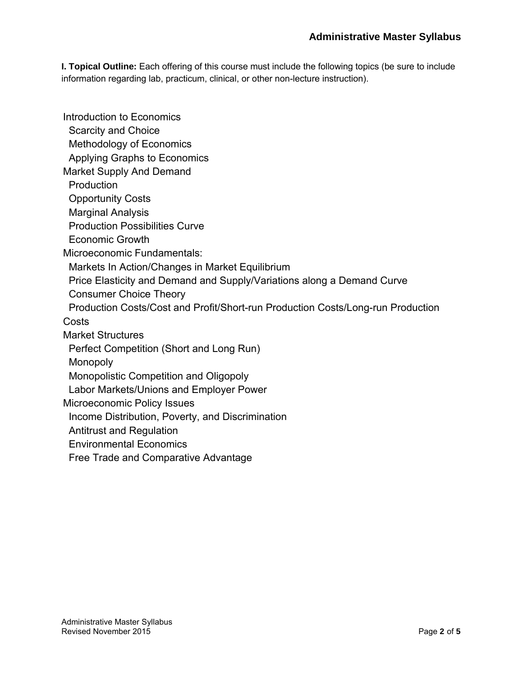**I. Topical Outline:** Each offering of this course must include the following topics (be sure to include information regarding lab, practicum, clinical, or other non-lecture instruction).

Introduction to Economics Scarcity and Choice Methodology of Economics Applying Graphs to Economics Market Supply And Demand **Production**  Opportunity Costs Marginal Analysis Production Possibilities Curve Economic Growth Microeconomic Fundamentals: Markets In Action/Changes in Market Equilibrium Price Elasticity and Demand and Supply/Variations along a Demand Curve Consumer Choice Theory Production Costs/Cost and Profit/Short-run Production Costs/Long-run Production **Costs** Market Structures Perfect Competition (Short and Long Run) **Monopoly**  Monopolistic Competition and Oligopoly Labor Markets/Unions and Employer Power Microeconomic Policy Issues Income Distribution, Poverty, and Discrimination Antitrust and Regulation Environmental Economics Free Trade and Comparative Advantage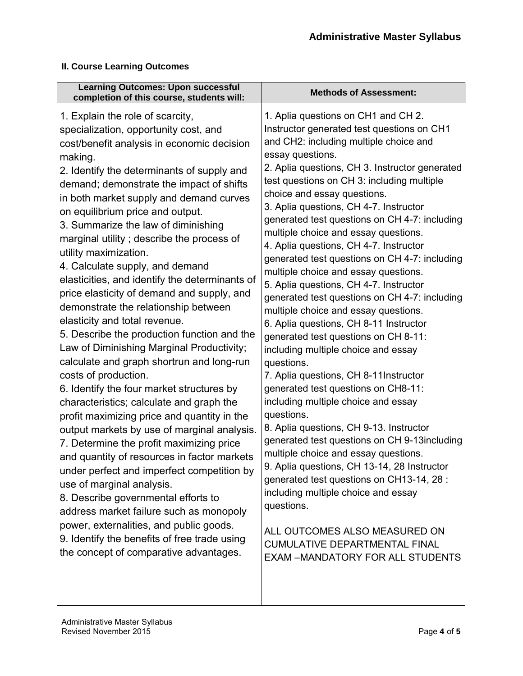#### **II. Course Learning Outcomes**

| <b>Learning Outcomes: Upon successful</b><br>completion of this course, students will:                                                                                                                                                                                                                                                                                                                                                                                                                                                                                                                                                                                                                                                                                                                                                                                                                                                                                                                                                                                                                                                                                                                                                                                                                                                          | <b>Methods of Assessment:</b>                                                                                                                                                                                                                                                                                                                                                                                                                                                                                                                                                                                                                                                                                                                                                                                                                                                                                                                                                                                                                                                                                                                                                                                                                                                                                                     |
|-------------------------------------------------------------------------------------------------------------------------------------------------------------------------------------------------------------------------------------------------------------------------------------------------------------------------------------------------------------------------------------------------------------------------------------------------------------------------------------------------------------------------------------------------------------------------------------------------------------------------------------------------------------------------------------------------------------------------------------------------------------------------------------------------------------------------------------------------------------------------------------------------------------------------------------------------------------------------------------------------------------------------------------------------------------------------------------------------------------------------------------------------------------------------------------------------------------------------------------------------------------------------------------------------------------------------------------------------|-----------------------------------------------------------------------------------------------------------------------------------------------------------------------------------------------------------------------------------------------------------------------------------------------------------------------------------------------------------------------------------------------------------------------------------------------------------------------------------------------------------------------------------------------------------------------------------------------------------------------------------------------------------------------------------------------------------------------------------------------------------------------------------------------------------------------------------------------------------------------------------------------------------------------------------------------------------------------------------------------------------------------------------------------------------------------------------------------------------------------------------------------------------------------------------------------------------------------------------------------------------------------------------------------------------------------------------|
| 1. Explain the role of scarcity,<br>specialization, opportunity cost, and<br>cost/benefit analysis in economic decision<br>making.<br>2. Identify the determinants of supply and<br>demand; demonstrate the impact of shifts<br>in both market supply and demand curves<br>on equilibrium price and output.<br>3. Summarize the law of diminishing<br>marginal utility; describe the process of<br>utility maximization.<br>4. Calculate supply, and demand<br>elasticities, and identify the determinants of<br>price elasticity of demand and supply, and<br>demonstrate the relationship between<br>elasticity and total revenue.<br>5. Describe the production function and the<br>Law of Diminishing Marginal Productivity;<br>calculate and graph shortrun and long-run<br>costs of production.<br>6. Identify the four market structures by<br>characteristics; calculate and graph the<br>profit maximizing price and quantity in the<br>output markets by use of marginal analysis.<br>7. Determine the profit maximizing price<br>and quantity of resources in factor markets<br>under perfect and imperfect competition by<br>use of marginal analysis.<br>8. Describe governmental efforts to<br>address market failure such as monopoly<br>power, externalities, and public goods.<br>9. Identify the benefits of free trade using | 1. Aplia questions on CH1 and CH 2.<br>Instructor generated test questions on CH1<br>and CH2: including multiple choice and<br>essay questions.<br>2. Aplia questions, CH 3. Instructor generated<br>test questions on CH 3: including multiple<br>choice and essay questions.<br>3. Aplia questions, CH 4-7. Instructor<br>generated test questions on CH 4-7: including<br>multiple choice and essay questions.<br>4. Aplia questions, CH 4-7. Instructor<br>generated test questions on CH 4-7: including<br>multiple choice and essay questions.<br>5. Aplia questions, CH 4-7. Instructor<br>generated test questions on CH 4-7: including<br>multiple choice and essay questions.<br>6. Aplia questions, CH 8-11 Instructor<br>generated test questions on CH 8-11:<br>including multiple choice and essay<br>questions.<br>7. Aplia questions, CH 8-11 Instructor<br>generated test questions on CH8-11:<br>including multiple choice and essay<br>questions.<br>8. Aplia questions, CH 9-13. Instructor<br>generated test questions on CH 9-13including<br>multiple choice and essay questions.<br>9. Aplia questions, CH 13-14, 28 Instructor<br>generated test questions on CH13-14, 28 :<br>including multiple choice and essay<br>questions.<br>ALL OUTCOMES ALSO MEASURED ON<br><b>CUMULATIVE DEPARTMENTAL FINAL</b> |
| the concept of comparative advantages.                                                                                                                                                                                                                                                                                                                                                                                                                                                                                                                                                                                                                                                                                                                                                                                                                                                                                                                                                                                                                                                                                                                                                                                                                                                                                                          | <b>EXAM -MANDATORY FOR ALL STUDENTS</b>                                                                                                                                                                                                                                                                                                                                                                                                                                                                                                                                                                                                                                                                                                                                                                                                                                                                                                                                                                                                                                                                                                                                                                                                                                                                                           |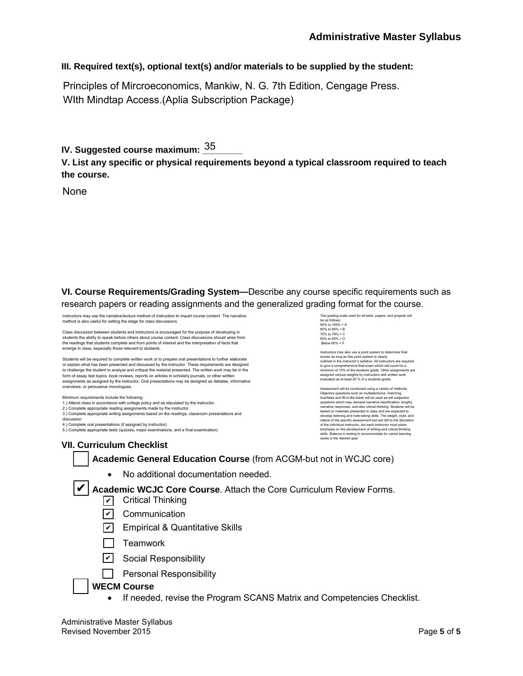#### **III. Required text(s), optional text(s) and/or materials to be supplied by the student:**

Principles of Mircroeconomics, Mankiw, N. G. 7th Edition, Cengage Press. WIth Mindtap Access.(Aplia Subscription Package)

IV. Suggested course maximum: <u><sup>35</sup>\_\_\_\_\_</u>

**V. List any specific or physical requirements beyond a typical classroom required to teach the course.**

None

**VI. Course Requirements/Grading System—**Describe any course specific requirements such as research papers or reading assignments and the generalized grading format for the course.

Instructors may use the narrative/lecture method of instruction to impart course content. The narrative method is also useful for setting the stage for class discussions.

Class discussion between students and instructors is encouraged for the purpose of developing in students the ability to speak before others about course content. Class discussions should arise from the readings that students complete and from points of interest and the interpretation of facts that emerge in class, especially those relevant to students.

Students will be required to complete written work or to prepare oral presentations to further elaborate or explain what has been presented and discussed by the instructor. These requirements are designed to challenge the student to analyze and critique the material presented. The written work may be in the form of essay test topics, book reviews, reports on articles in scholarly journals, or other written assignments as assigned by the instructor. Oral presentations may be designed as debates, informative overviews, or persuasive monologues.

Minimum requirements include the following:

1.) Attend class in accordance with college policy and as stipulated by the instructor. 2.) Complete appropriate reading assignments made by the instructor

3.) Complete appropriate writing assignments based on the readings, classroom presentations and

discussion

4.) Complete oral presentations (if assigned by instructor) 5.) Complete appropriate tests (quizzes, major examinations, and a final examination) The grading scale us be as follows: 90% to 100% = A 80% to 89% = B 70% to 79% = C 60% to 69% = D Below 60% = F

Instructors may also use a point system to determine final scores as long as this point system is clearly outlined in the instructor's syllabus. All instructors are required to give a comprehensive final exam which will count for a minimum of 10% of the students grade. Other assignments are assigned various weights by instructors with written work evaluated as at least 25 % of a students grade.

Assessment will be conducted using a variety of methods. Objective questions such as multiplechoice, matching, true/false and fill-in-the blank will be used as will subjective questions which may demand narrative identification, lengthy narrative responses, and also critical thinking. Students will be tested on materials presented in class and are expected to develop listening and note-taking skills. The weight, style, and<br>nature of the specific assessment tool are left to the discretion<br>of the individual instructor, but each instructor must place<br>emphasis on the development of skills. Balance in testing to acco<br>styles is the desired goal

#### **VII. Curriculum Checklist**

#### **Academic General Education Course** (from ACGM-but not in WCJC core)

• No additional documentation needed.

✔ Academic WCJC Core Course. Attach the Core Curriculum Review Forms.

- **✓** Critical Thinking
- <u>✔</u> Communication
- <u>✔</u> Empirical & Quantitative Skills
- $\Box$  Teamwork
- <u>✔</u> Social Responsibility
- **Personal Responsibility**

#### **WECM Course**

• If needed, revise the Program SCANS Matrix and Competencies Checklist.

Administrative Master Syllabus Revised November 2015 Page **5** of **5**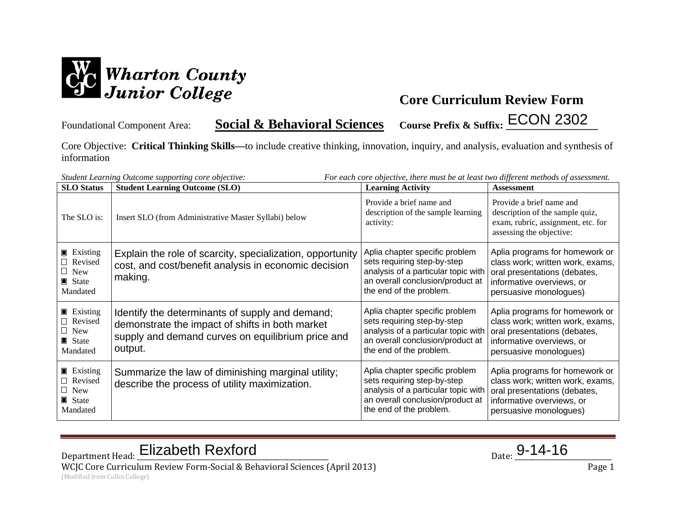

Foundational Component Area: **Social & Behavioral Sciences Course Prefix & Suffix: \_\_\_\_\_\_\_\_\_\_\_\_\_\_\_\_\_\_** ECON 2302

Core Objective: **Critical Thinking Skills—**to include creative thinking, innovation, inquiry, and analysis, evaluation and synthesis of information

| <b>SLO</b> Status                                                                    | Student Learning Outcome supporting core objective:<br><b>Student Learning Outcome (SLO)</b>                                                                       | For each core objective, there must be at least two different methods of assessment.<br><b>Learning Activity</b>                                                    | <b>Assessment</b>                                                                                                                                         |
|--------------------------------------------------------------------------------------|--------------------------------------------------------------------------------------------------------------------------------------------------------------------|---------------------------------------------------------------------------------------------------------------------------------------------------------------------|-----------------------------------------------------------------------------------------------------------------------------------------------------------|
| The SLO is:                                                                          | Insert SLO (from Administrative Master Syllabi) below                                                                                                              | Provide a brief name and<br>description of the sample learning<br>activity:                                                                                         | Provide a brief name and<br>description of the sample quiz,<br>exam, rubric, assignment, etc. for<br>assessing the objective:                             |
| <b>Existing</b><br>□ Revised<br>$\Box$ New<br>State State<br>Mandated                | Explain the role of scarcity, specialization, opportunity<br>cost, and cost/benefit analysis in economic decision<br>making.                                       | Aplia chapter specific problem<br>sets requiring step-by-step<br>analysis of a particular topic with<br>an overall conclusion/product at<br>the end of the problem. | Aplia programs for homework or<br>class work; written work, exams,<br>oral presentations (debates,<br>informative overviews, or<br>persuasive monologues) |
| <b>Existing</b><br>Revised<br>$\Box$ New<br>$\blacksquare$ State<br>Mandated         | Identify the determinants of supply and demand;<br>demonstrate the impact of shifts in both market<br>supply and demand curves on equilibrium price and<br>output. | Aplia chapter specific problem<br>sets requiring step-by-step<br>analysis of a particular topic with<br>an overall conclusion/product at<br>the end of the problem. | Aplia programs for homework or<br>class work; written work, exams,<br>oral presentations (debates,<br>informative overviews, or<br>persuasive monologues) |
| $\blacksquare$ Existing<br>Revised<br>$\Box$ New<br>$\blacksquare$ State<br>Mandated | Summarize the law of diminishing marginal utility;<br>describe the process of utility maximization.                                                                | Aplia chapter specific problem<br>sets requiring step-by-step<br>analysis of a particular topic with<br>an overall conclusion/product at<br>the end of the problem. | Aplia programs for homework or<br>class work; written work, exams,<br>oral presentations (debates,<br>informative overviews, or<br>persuasive monologues) |

Department Head: Elizabeth Rexford Department Head: <u>Elizabeth Rexford</u> Parte 2014-16

WCJC Core Curriculum Review Form-Social & Behavioral Sciences (April 2013) Page 1 (Modified from Collin College)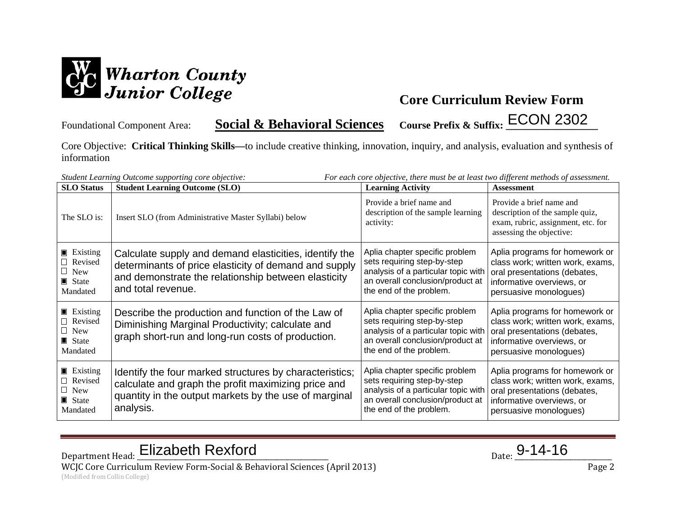

Foundational Component Area: **Social & Behavioral Sciences Course Prefix & Suffix: \_\_\_\_\_\_\_\_\_\_\_\_\_\_\_\_\_\_** ECON 2302

Core Objective: **Critical Thinking Skills—**to include creative thinking, innovation, inquiry, and analysis, evaluation and synthesis of information

| <b>SLO</b> Status                                                           | Student Learning Outcome supporting core objective:<br><b>Student Learning Outcome (SLO)</b>                                                                                                 | For each core objective, there must be at least two different methods of assessment.<br><b>Learning Activity</b>                                                    | <b>Assessment</b>                                                                                                                                         |
|-----------------------------------------------------------------------------|----------------------------------------------------------------------------------------------------------------------------------------------------------------------------------------------|---------------------------------------------------------------------------------------------------------------------------------------------------------------------|-----------------------------------------------------------------------------------------------------------------------------------------------------------|
| The SLO is:                                                                 | Insert SLO (from Administrative Master Syllabi) below                                                                                                                                        | Provide a brief name and<br>description of the sample learning<br>activity:                                                                                         | Provide a brief name and<br>description of the sample quiz,<br>exam, rubric, assignment, etc. for<br>assessing the objective:                             |
| $\blacksquare$ Existing<br>Revised<br>$\Box$ New<br>State State<br>Mandated | Calculate supply and demand elasticities, identify the<br>determinants of price elasticity of demand and supply<br>and demonstrate the relationship between elasticity<br>and total revenue. | Aplia chapter specific problem<br>sets requiring step-by-step<br>analysis of a particular topic with<br>an overall conclusion/product at<br>the end of the problem. | Aplia programs for homework or<br>class work; written work, exams,<br>oral presentations (debates,<br>informative overviews, or<br>persuasive monologues) |
| <b>Existing</b><br>Revised<br>$\Box$ New<br>State<br>Mandated               | Describe the production and function of the Law of<br>Diminishing Marginal Productivity; calculate and<br>graph short-run and long-run costs of production.                                  | Aplia chapter specific problem<br>sets requiring step-by-step<br>analysis of a particular topic with<br>an overall conclusion/product at<br>the end of the problem. | Aplia programs for homework or<br>class work; written work, exams,<br>oral presentations (debates,<br>informative overviews, or<br>persuasive monologues) |
| $\blacksquare$ Existing<br>Revised<br>$\Box$ New<br>State<br>Mandated       | Identify the four marked structures by characteristics;<br>calculate and graph the profit maximizing price and<br>quantity in the output markets by the use of marginal<br>analysis.         | Aplia chapter specific problem<br>sets requiring step-by-step<br>analysis of a particular topic with<br>an overall conclusion/product at<br>the end of the problem. | Aplia programs for homework or<br>class work; written work, exams,<br>oral presentations (debates,<br>informative overviews, or<br>persuasive monologues) |

Department Head: Elizabeth Rexford Department Head: <u>Elizabeth Rexford</u> Parte 2014-16

WCJC Core Curriculum Review Form-Social & Behavioral Sciences (April 2013) Page 2 (Modified from Collin College)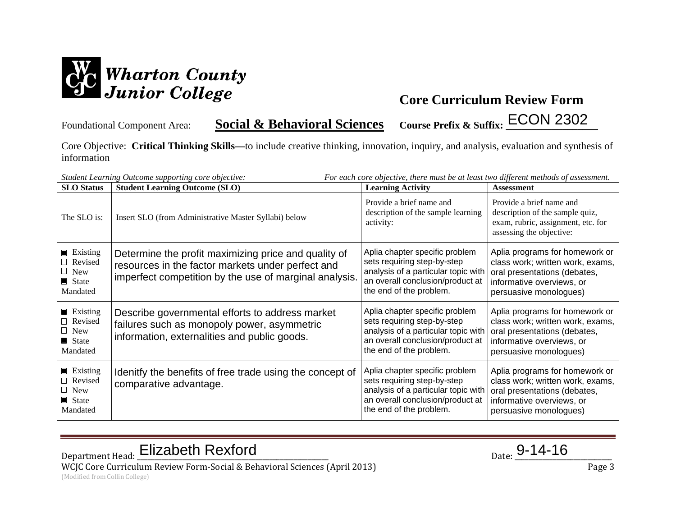

Foundational Component Area: **Social & Behavioral Sciences Course Prefix & Suffix: \_\_\_\_\_\_\_\_\_\_\_\_\_\_\_\_\_\_** ECON 2302

Core Objective: **Critical Thinking Skills—**to include creative thinking, innovation, inquiry, and analysis, evaluation and synthesis of information

| <b>SLO</b> Status                                                                    | Student Learning Outcome supporting core objective:<br><b>Student Learning Outcome (SLO)</b>                                                                        | For each core objective, there must be at least two different methods of assessment.<br><b>Learning Activity</b>                                                    | <b>Assessment</b>                                                                                                                                         |
|--------------------------------------------------------------------------------------|---------------------------------------------------------------------------------------------------------------------------------------------------------------------|---------------------------------------------------------------------------------------------------------------------------------------------------------------------|-----------------------------------------------------------------------------------------------------------------------------------------------------------|
| The SLO is:                                                                          | Insert SLO (from Administrative Master Syllabi) below                                                                                                               | Provide a brief name and<br>description of the sample learning<br>activity:                                                                                         | Provide a brief name and<br>description of the sample quiz,<br>exam, rubric, assignment, etc. for<br>assessing the objective:                             |
| $\blacksquare$ Existing<br>Revised<br>$\Box$ New<br>$\blacksquare$ State<br>Mandated | Determine the profit maximizing price and quality of<br>resources in the factor markets under perfect and<br>imperfect competition by the use of marginal analysis. | Aplia chapter specific problem<br>sets requiring step-by-step<br>analysis of a particular topic with<br>an overall conclusion/product at<br>the end of the problem. | Aplia programs for homework or<br>class work; written work, exams,<br>oral presentations (debates,<br>informative overviews, or<br>persuasive monologues) |
| <b>Existing</b><br>Revised<br>$\Box$ New<br>$\blacksquare$ State<br>Mandated         | Describe governmental efforts to address market<br>failures such as monopoly power, asymmetric<br>information, externalities and public goods.                      | Aplia chapter specific problem<br>sets requiring step-by-step<br>analysis of a particular topic with<br>an overall conclusion/product at<br>the end of the problem. | Aplia programs for homework or<br>class work; written work, exams,<br>oral presentations (debates,<br>informative overviews, or<br>persuasive monologues) |
| $\blacksquare$ Existing<br>Revised<br>$\Box$ New<br>$\blacksquare$ State<br>Mandated | Idenitfy the benefits of free trade using the concept of<br>comparative advantage.                                                                                  | Aplia chapter specific problem<br>sets requiring step-by-step<br>analysis of a particular topic with<br>an overall conclusion/product at<br>the end of the problem. | Aplia programs for homework or<br>class work; written work, exams,<br>oral presentations (debates,<br>informative overviews, or<br>persuasive monologues) |

Department Head: Elizabeth Rexford Department Head: <u>Elizabeth Rexford</u> Parte 2014-16

WCJC Core Curriculum Review Form-Social & Behavioral Sciences (April 2013) Page 3 (Modified from Collin College)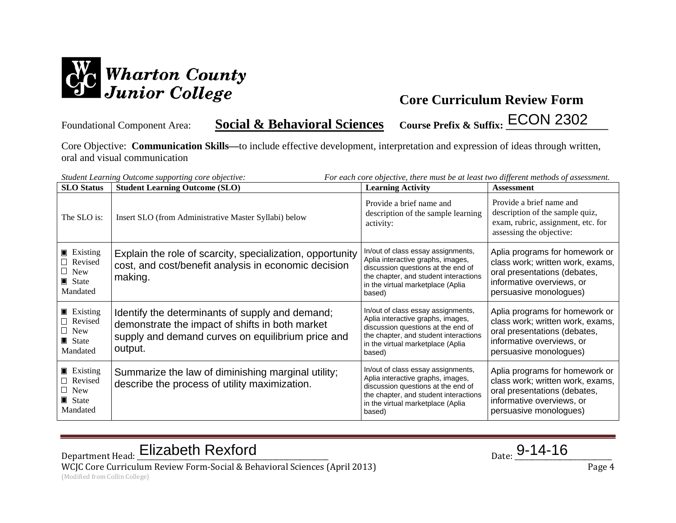

Foundational Component Area: **Social & Behavioral Sciences** Course Prefix & Suffix: ECON 2302

Core Objective: **Communication Skills—**to include effective development, interpretation and expression of ideas through written, oral and visual communication

| <b>SLO</b> Status                                                                           | Student Learning Outcome supporting core objective:<br><b>Student Learning Outcome (SLO)</b>                                                                       | For each core objective, there must be at least two different methods of assessment.<br><b>Learning Activity</b>                                                                                      | <b>Assessment</b>                                                                                                                                         |
|---------------------------------------------------------------------------------------------|--------------------------------------------------------------------------------------------------------------------------------------------------------------------|-------------------------------------------------------------------------------------------------------------------------------------------------------------------------------------------------------|-----------------------------------------------------------------------------------------------------------------------------------------------------------|
| The SLO is:                                                                                 | Insert SLO (from Administrative Master Syllabi) below                                                                                                              | Provide a brief name and<br>description of the sample learning<br>activity:                                                                                                                           | Provide a brief name and<br>description of the sample quiz,<br>exam, rubric, assignment, etc. for<br>assessing the objective:                             |
| $\blacksquare$ Existing<br>$\Box$ Revised<br>$\Box$ New<br>$\blacksquare$ State<br>Mandated | Explain the role of scarcity, specialization, opportunity<br>cost, and cost/benefit analysis in economic decision<br>making.                                       | In/out of class essay assignments,<br>Aplia interactive graphs, images,<br>discussion questions at the end of<br>the chapter, and student interactions<br>in the virtual marketplace (Aplia<br>based) | Aplia programs for homework or<br>class work; written work, exams,<br>oral presentations (debates,<br>informative overviews, or<br>persuasive monologues) |
| $\blacksquare$ Existing<br>$\Box$ Revised<br>$\Box$ New<br>State<br>Mandated                | Identify the determinants of supply and demand;<br>demonstrate the impact of shifts in both market<br>supply and demand curves on equilibrium price and<br>output. | In/out of class essay assignments,<br>Aplia interactive graphs, images,<br>discussion questions at the end of<br>the chapter, and student interactions<br>in the virtual marketplace (Aplia<br>based) | Aplia programs for homework or<br>class work; written work, exams,<br>oral presentations (debates,<br>informative overviews, or<br>persuasive monologues) |
| $\blacksquare$ Existing<br>Revised<br>$\Box$ New<br>$\blacksquare$ State<br>Mandated        | Summarize the law of diminishing marginal utility;<br>describe the process of utility maximization.                                                                | In/out of class essay assignments,<br>Aplia interactive graphs, images,<br>discussion questions at the end of<br>the chapter, and student interactions<br>in the virtual marketplace (Aplia<br>based) | Aplia programs for homework or<br>class work; written work, exams,<br>oral presentations (debates,<br>informative overviews, or<br>persuasive monologues) |

Department Head: Elizabeth Rexford Department Head: <u>Elizabeth Rexford</u> Parte 2014-16

WCJC Core Curriculum Review Form-Social & Behavioral Sciences (April 2013) Page 4 (Modified from Collin College)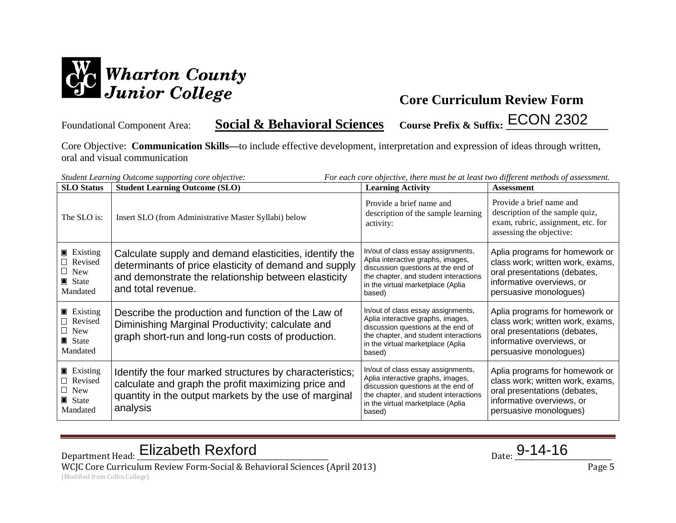

Foundational Component Area: **Social & Behavioral Sciences** Course Prefix & Suffix: ECON 2302

Core Objective: **Communication Skills—**to include effective development, interpretation and expression of ideas through written, oral and visual communication

| For each core objective, there must be at least two different methods of assessment.<br>Student Learning Outcome supporting core objective: |                                                                                                                                                                                              |                                                                                                                                                                                                       |                                                                                                                                                           |
|---------------------------------------------------------------------------------------------------------------------------------------------|----------------------------------------------------------------------------------------------------------------------------------------------------------------------------------------------|-------------------------------------------------------------------------------------------------------------------------------------------------------------------------------------------------------|-----------------------------------------------------------------------------------------------------------------------------------------------------------|
| <b>SLO</b> Status                                                                                                                           | <b>Student Learning Outcome (SLO)</b>                                                                                                                                                        | <b>Learning Activity</b>                                                                                                                                                                              | <b>Assessment</b>                                                                                                                                         |
| The SLO is:                                                                                                                                 | Insert SLO (from Administrative Master Syllabi) below                                                                                                                                        | Provide a brief name and<br>description of the sample learning<br>activity:                                                                                                                           | Provide a brief name and<br>description of the sample quiz,<br>exam, rubric, assignment, etc. for<br>assessing the objective:                             |
| $\blacksquare$ Existing<br>Revised<br>$\Box$ New<br>$\blacksquare$ State<br>Mandated                                                        | Calculate supply and demand elasticities, identify the<br>determinants of price elasticity of demand and supply<br>and demonstrate the relationship between elasticity<br>and total revenue. | In/out of class essay assignments,<br>Aplia interactive graphs, images,<br>discussion questions at the end of<br>the chapter, and student interactions<br>in the virtual marketplace (Aplia<br>based) | Aplia programs for homework or<br>class work; written work, exams,<br>oral presentations (debates,<br>informative overviews, or<br>persuasive monologues) |
| $\blacksquare$ Existing<br>$\Box$ Revised<br>$\Box$ New<br>$\blacksquare$ State<br>Mandated                                                 | Describe the production and function of the Law of<br>Diminishing Marginal Productivity; calculate and<br>graph short-run and long-run costs of production.                                  | In/out of class essay assignments,<br>Aplia interactive graphs, images,<br>discussion questions at the end of<br>the chapter, and student interactions<br>in the virtual marketplace (Aplia<br>based) | Aplia programs for homework or<br>class work; written work, exams,<br>oral presentations (debates,<br>informative overviews, or<br>persuasive monologues) |
| $\blacksquare$ Existing<br>Revised<br>$\Box$ New<br>$\blacksquare$ State<br>Mandated                                                        | Identify the four marked structures by characteristics;<br>calculate and graph the profit maximizing price and<br>quantity in the output markets by the use of marginal<br>analysis          | In/out of class essay assignments,<br>Aplia interactive graphs, images,<br>discussion questions at the end of<br>the chapter, and student interactions<br>in the virtual marketplace (Aplia<br>based) | Aplia programs for homework or<br>class work; written work, exams,<br>oral presentations (debates,<br>informative overviews, or<br>persuasive monologues) |

Department Head: Elizabeth Rexford Department Head: <u>Elizabeth Rexford</u> Parte 2014-16

WCJC Core Curriculum Review Form-Social & Behavioral Sciences (April 2013) Page 5 (Modified from Collin College)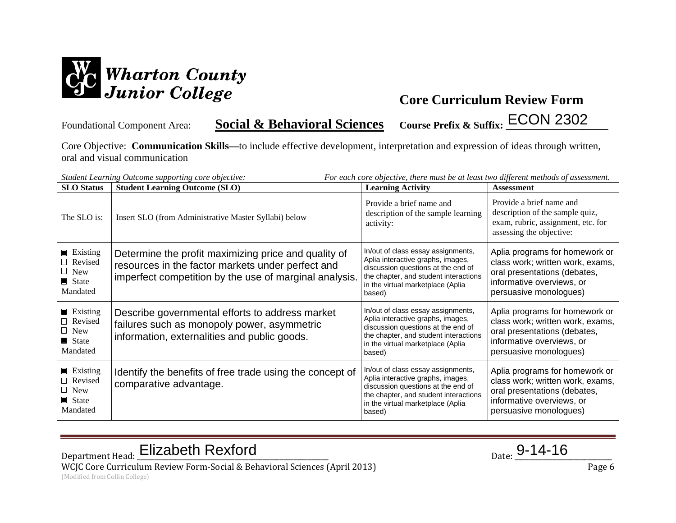

Foundational Component Area: **Social & Behavioral Sciences** Course Prefix & Suffix: ECON 2302

Core Objective: **Communication Skills—**to include effective development, interpretation and expression of ideas through written, oral and visual communication

| <b>SLO</b> Status                                                                           | Student Learning Outcome supporting core objective:<br><b>Student Learning Outcome (SLO)</b>                                                                        | For each core objective, there must be at least two different methods of assessment.<br><b>Learning Activity</b>                                                                                      | <b>Assessment</b>                                                                                                                                         |
|---------------------------------------------------------------------------------------------|---------------------------------------------------------------------------------------------------------------------------------------------------------------------|-------------------------------------------------------------------------------------------------------------------------------------------------------------------------------------------------------|-----------------------------------------------------------------------------------------------------------------------------------------------------------|
| The SLO is:                                                                                 | Insert SLO (from Administrative Master Syllabi) below                                                                                                               | Provide a brief name and<br>description of the sample learning<br>activity:                                                                                                                           | Provide a brief name and<br>description of the sample quiz,<br>exam, rubric, assignment, etc. for<br>assessing the objective:                             |
| $\blacksquare$ Existing<br>$\Box$ Revised<br>$\Box$ New<br>$\blacksquare$ State<br>Mandated | Determine the profit maximizing price and quality of<br>resources in the factor markets under perfect and<br>imperfect competition by the use of marginal analysis. | In/out of class essay assignments,<br>Aplia interactive graphs, images,<br>discussion questions at the end of<br>the chapter, and student interactions<br>in the virtual marketplace (Aplia<br>based) | Aplia programs for homework or<br>class work; written work, exams,<br>oral presentations (debates,<br>informative overviews, or<br>persuasive monologues) |
| $\blacksquare$ Existing<br>$\Box$ Revised<br>$\Box$ New<br>$\blacksquare$ State<br>Mandated | Describe governmental efforts to address market<br>failures such as monopoly power, asymmetric<br>information, externalities and public goods.                      | In/out of class essay assignments,<br>Aplia interactive graphs, images,<br>discussion questions at the end of<br>the chapter, and student interactions<br>in the virtual marketplace (Aplia<br>based) | Aplia programs for homework or<br>class work; written work, exams,<br>oral presentations (debates,<br>informative overviews, or<br>persuasive monologues) |
| $\blacksquare$ Existing<br>Revised<br>$\Box$ New<br>$\blacksquare$ State<br>Mandated        | Identify the benefits of free trade using the concept of<br>comparative advantage.                                                                                  | In/out of class essay assignments,<br>Aplia interactive graphs, images,<br>discussion questions at the end of<br>the chapter, and student interactions<br>in the virtual marketplace (Aplia<br>based) | Aplia programs for homework or<br>class work; written work, exams,<br>oral presentations (debates,<br>informative overviews, or<br>persuasive monologues) |

Department Head: Elizabeth Rexford Department Head: <u>Elizabeth Rexford</u> Parte 2014-16

WCJC Core Curriculum Review Form-Social & Behavioral Sciences (April 2013) Page 6 (Modified from Collin College)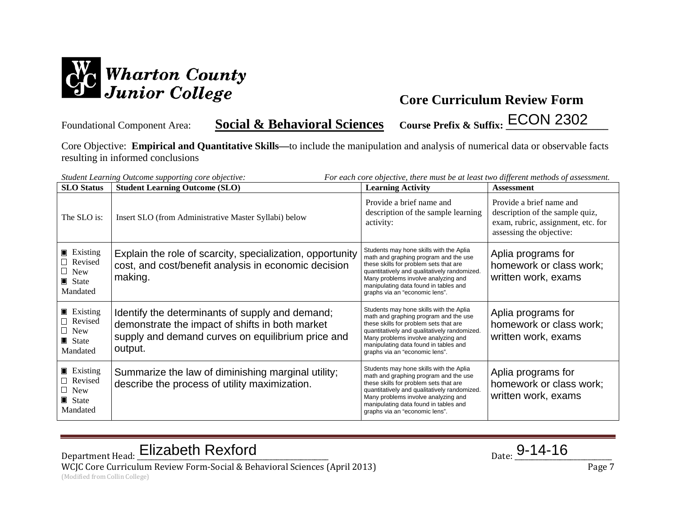

Foundational Component Area: **Social & Behavioral Sciences** Course Prefix & Suffix: ECON 2302

Core Objective: **Empirical and Quantitative Skills—**to include the manipulation and analysis of numerical data or observable facts resulting in informed conclusions

|                                                                                             | Student Learning Outcome supporting core objective:<br>For each core objective, there must be at least two different methods of assessment.                        |                                                                                                                                                                                                                                                                                              |                                                                                                                               |
|---------------------------------------------------------------------------------------------|--------------------------------------------------------------------------------------------------------------------------------------------------------------------|----------------------------------------------------------------------------------------------------------------------------------------------------------------------------------------------------------------------------------------------------------------------------------------------|-------------------------------------------------------------------------------------------------------------------------------|
| <b>SLO</b> Status                                                                           | <b>Student Learning Outcome (SLO)</b>                                                                                                                              | <b>Learning Activity</b>                                                                                                                                                                                                                                                                     | <b>Assessment</b>                                                                                                             |
| The SLO is:                                                                                 | Insert SLO (from Administrative Master Syllabi) below                                                                                                              | Provide a brief name and<br>description of the sample learning<br>activity:                                                                                                                                                                                                                  | Provide a brief name and<br>description of the sample quiz,<br>exam, rubric, assignment, etc. for<br>assessing the objective: |
| $\blacksquare$ Existing<br>Revised<br>$\Box$ New<br>$\blacksquare$ State<br>Mandated        | Explain the role of scarcity, specialization, opportunity<br>cost, and cost/benefit analysis in economic decision<br>making.                                       | Students may hone skills with the Aplia<br>math and graphing program and the use<br>these skills for problem sets that are<br>quantitatively and qualitatively randomized.<br>Many problems involve analyzing and<br>manipulating data found in tables and<br>graphs via an "economic lens". | Aplia programs for<br>homework or class work;<br>written work, exams                                                          |
| <b>Existing</b><br>$\Box$ Revised<br>$\Box$ New<br>$\blacksquare$ State<br>Mandated         | Identify the determinants of supply and demand;<br>demonstrate the impact of shifts in both market<br>supply and demand curves on equilibrium price and<br>output. | Students may hone skills with the Aplia<br>math and graphing program and the use<br>these skills for problem sets that are<br>quantitatively and qualitatively randomized.<br>Many problems involve analyzing and<br>manipulating data found in tables and<br>graphs via an "economic lens". | Aplia programs for<br>homework or class work;<br>written work, exams                                                          |
| $\blacksquare$ Existing<br>$\Box$ Revised<br>$\Box$ New<br>$\blacksquare$ State<br>Mandated | Summarize the law of diminishing marginal utility;<br>describe the process of utility maximization.                                                                | Students may hone skills with the Aplia<br>math and graphing program and the use<br>these skills for problem sets that are<br>quantitatively and qualitatively randomized.<br>Many problems involve analyzing and<br>manipulating data found in tables and<br>graphs via an "economic lens". | Aplia programs for<br>homework or class work;<br>written work, exams                                                          |

Department Head: Elizabeth Rexford Department Head: <u>Elizabeth Rexford</u> Parte 2014-16 WCJC Core Curriculum Review Form-Social & Behavioral Sciences (April 2013) Page 7

(Modified from Collin College)

$$
_{\text{Date:}}9-14-16
$$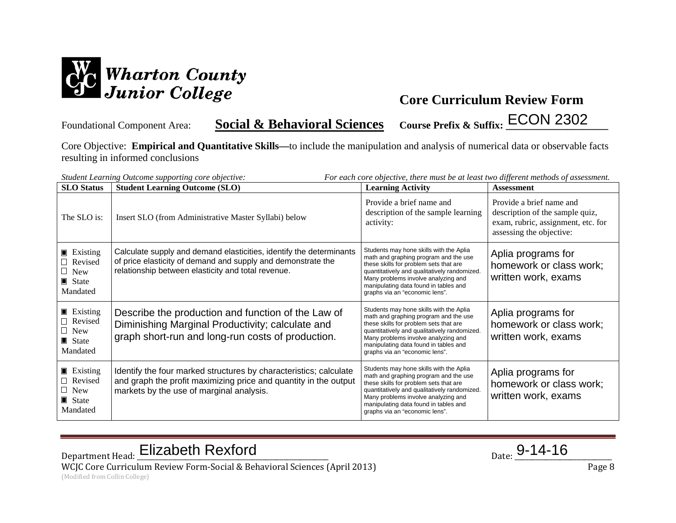

Foundational Component Area: **Social & Behavioral Sciences** Course Prefix & Suffix: ECON 2302

Core Objective: **Empirical and Quantitative Skills—**to include the manipulation and analysis of numerical data or observable facts resulting in informed conclusions

| <b>SLO</b> Status                                                                           | Student Learning Outcome supporting core objective:<br><b>Student Learning Outcome (SLO)</b>                                                                                              | For each core objective, there must be at least two different methods of assessment.<br><b>Learning Activity</b>                                                                                                                                                                             | <b>Assessment</b>                                                                                                             |
|---------------------------------------------------------------------------------------------|-------------------------------------------------------------------------------------------------------------------------------------------------------------------------------------------|----------------------------------------------------------------------------------------------------------------------------------------------------------------------------------------------------------------------------------------------------------------------------------------------|-------------------------------------------------------------------------------------------------------------------------------|
| The SLO is:                                                                                 | Insert SLO (from Administrative Master Syllabi) below                                                                                                                                     | Provide a brief name and<br>description of the sample learning<br>activity:                                                                                                                                                                                                                  | Provide a brief name and<br>description of the sample quiz,<br>exam, rubric, assignment, etc. for<br>assessing the objective: |
| $\blacksquare$ Existing<br>$\Box$ Revised<br>$\Box$ New<br>$\blacksquare$ State<br>Mandated | Calculate supply and demand elasticities, identify the determinants<br>of price elasticity of demand and supply and demonstrate the<br>relationship between elasticity and total revenue. | Students may hone skills with the Aplia<br>math and graphing program and the use<br>these skills for problem sets that are<br>quantitatively and qualitatively randomized.<br>Many problems involve analyzing and<br>manipulating data found in tables and<br>graphs via an "economic lens". | Aplia programs for<br>homework or class work;<br>written work, exams                                                          |
| $\blacksquare$ Existing<br>$\Box$ Revised<br>$\Box$ New<br>$\blacksquare$ State<br>Mandated | Describe the production and function of the Law of<br>Diminishing Marginal Productivity; calculate and<br>graph short-run and long-run costs of production.                               | Students may hone skills with the Aplia<br>math and graphing program and the use<br>these skills for problem sets that are<br>quantitatively and qualitatively randomized.<br>Many problems involve analyzing and<br>manipulating data found in tables and<br>graphs via an "economic lens". | Aplia programs for<br>homework or class work;<br>written work, exams                                                          |
| $\blacksquare$ Existing<br>Revised<br>$\Box$ New<br>$\blacksquare$ State<br>Mandated        | Identify the four marked structures by characteristics; calculate<br>and graph the profit maximizing price and quantity in the output<br>markets by the use of marginal analysis.         | Students may hone skills with the Aplia<br>math and graphing program and the use<br>these skills for problem sets that are<br>quantitatively and qualitatively randomized.<br>Many problems involve analyzing and<br>manipulating data found in tables and<br>graphs via an "economic lens". | Aplia programs for<br>homework or class work;<br>written work, exams                                                          |

Department Head: Elizabeth Rexford Department Head: <u>Elizabeth Rexford</u> Parte 2014-16

WCJC Core Curriculum Review Form-Social & Behavioral Sciences (April 2013) Page 8 (Modified from Collin College)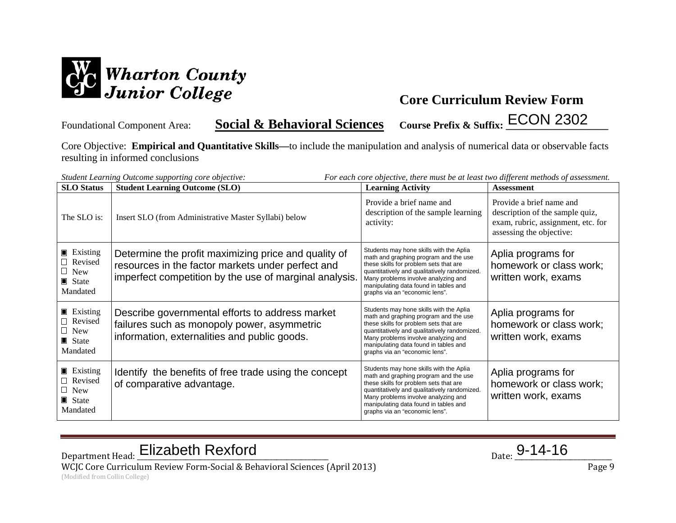

Foundational Component Area: **Social & Behavioral Sciences** Course Prefix & Suffix: ECON 2302

Core Objective: **Empirical and Quantitative Skills—**to include the manipulation and analysis of numerical data or observable facts resulting in informed conclusions

| <b>SLO</b> Status                                                                           | Student Learning Outcome supporting core objective:<br><b>Student Learning Outcome (SLO)</b>                                                                        | For each core objective, there must be at least two different methods of assessment.<br><b>Learning Activity</b>                                                                                                                                                                             | <b>Assessment</b>                                                                                                             |
|---------------------------------------------------------------------------------------------|---------------------------------------------------------------------------------------------------------------------------------------------------------------------|----------------------------------------------------------------------------------------------------------------------------------------------------------------------------------------------------------------------------------------------------------------------------------------------|-------------------------------------------------------------------------------------------------------------------------------|
| The SLO is:                                                                                 | Insert SLO (from Administrative Master Syllabi) below                                                                                                               | Provide a brief name and<br>description of the sample learning<br>activity:                                                                                                                                                                                                                  | Provide a brief name and<br>description of the sample quiz,<br>exam, rubric, assignment, etc. for<br>assessing the objective: |
| $\blacksquare$ Existing<br>Revised<br>$\Box$ New<br>State<br>Mandated                       | Determine the profit maximizing price and quality of<br>resources in the factor markets under perfect and<br>imperfect competition by the use of marginal analysis. | Students may hone skills with the Aplia<br>math and graphing program and the use<br>these skills for problem sets that are<br>quantitatively and qualitatively randomized.<br>Many problems involve analyzing and<br>manipulating data found in tables and<br>graphs via an "economic lens". | Aplia programs for<br>homework or class work;<br>written work, exams                                                          |
| $\blacksquare$ Existing<br>$\Box$ Revised<br>$\Box$ New<br>$\blacksquare$ State<br>Mandated | Describe governmental efforts to address market<br>failures such as monopoly power, asymmetric<br>information, externalities and public goods.                      | Students may hone skills with the Aplia<br>math and graphing program and the use<br>these skills for problem sets that are<br>quantitatively and qualitatively randomized.<br>Many problems involve analyzing and<br>manipulating data found in tables and<br>graphs via an "economic lens". | Aplia programs for<br>homework or class work;<br>written work, exams                                                          |
| $\blacksquare$ Existing<br>Revised<br>$\Box$ New<br>$\blacksquare$ State<br>Mandated        | Identify the benefits of free trade using the concept<br>of comparative advantage.                                                                                  | Students may hone skills with the Aplia<br>math and graphing program and the use<br>these skills for problem sets that are<br>quantitatively and qualitatively randomized.<br>Many problems involve analyzing and<br>manipulating data found in tables and<br>graphs via an "economic lens". | Aplia programs for<br>homework or class work;<br>written work, exams                                                          |

Department Head: Elizabeth Rexford Department Head: <u>Elizabeth Rexford</u> Parte 2014-16

WCJC Core Curriculum Review Form-Social & Behavioral Sciences (April 2013) Page 9 (Modified from Collin College)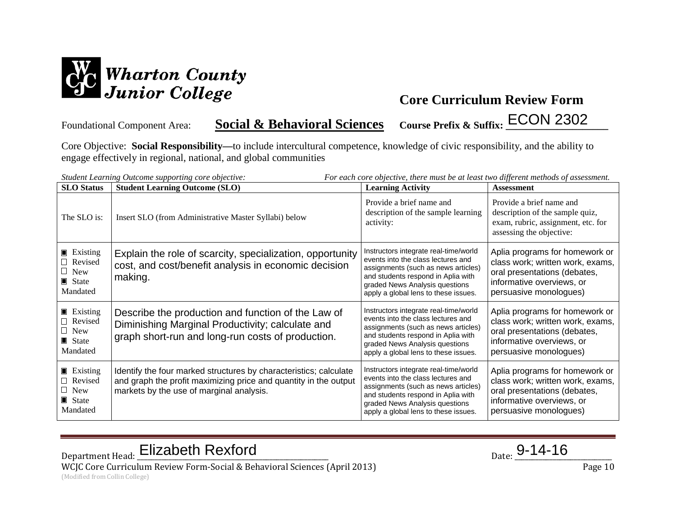

Foundational Component Area: **Social & Behavioral Sciences** Course Prefix & Suffix: ECON 2302

Core Objective: **Social Responsibility—**to include intercultural competence, knowledge of civic responsibility, and the ability to

engage effectively in regional, national, and global communities

| <b>SLO</b> Status                                                                           | Student Learning Outcome supporting core objective:<br><b>Student Learning Outcome (SLO)</b>                                                                                      | For each core objective, there must be at least two different methods of assessment.<br><b>Learning Activity</b>                                                                                                                   | <b>Assessment</b>                                                                                                                                         |
|---------------------------------------------------------------------------------------------|-----------------------------------------------------------------------------------------------------------------------------------------------------------------------------------|------------------------------------------------------------------------------------------------------------------------------------------------------------------------------------------------------------------------------------|-----------------------------------------------------------------------------------------------------------------------------------------------------------|
| The SLO is:                                                                                 | Insert SLO (from Administrative Master Syllabi) below                                                                                                                             | Provide a brief name and<br>description of the sample learning<br>activity:                                                                                                                                                        | Provide a brief name and<br>description of the sample quiz,<br>exam, rubric, assignment, etc. for<br>assessing the objective:                             |
| $\blacksquare$ Existing<br>□ Revised<br>$\Box$ New<br>$\blacksquare$ State<br>Mandated      | Explain the role of scarcity, specialization, opportunity<br>cost, and cost/benefit analysis in economic decision<br>making.                                                      | Instructors integrate real-time/world<br>events into the class lectures and<br>assignments (such as news articles)<br>and students respond in Aplia with<br>graded News Analysis questions<br>apply a global lens to these issues. | Aplia programs for homework or<br>class work; written work, exams,<br>oral presentations (debates,<br>informative overviews, or<br>persuasive monologues) |
| $\blacksquare$ Existing<br>Revised<br>$\Box$ New<br>$\blacksquare$ State<br>Mandated        | Describe the production and function of the Law of<br>Diminishing Marginal Productivity; calculate and<br>graph short-run and long-run costs of production.                       | Instructors integrate real-time/world<br>events into the class lectures and<br>assignments (such as news articles)<br>and students respond in Aplia with<br>graded News Analysis questions<br>apply a global lens to these issues. | Aplia programs for homework or<br>class work; written work, exams,<br>oral presentations (debates,<br>informative overviews, or<br>persuasive monologues) |
| $\blacksquare$ Existing<br>$\Box$ Revised<br>$\Box$ New<br>$\blacksquare$ State<br>Mandated | Identify the four marked structures by characteristics; calculate<br>and graph the profit maximizing price and quantity in the output<br>markets by the use of marginal analysis. | Instructors integrate real-time/world<br>events into the class lectures and<br>assignments (such as news articles)<br>and students respond in Aplia with<br>graded News Analysis questions<br>apply a global lens to these issues. | Aplia programs for homework or<br>class work; written work, exams,<br>oral presentations (debates,<br>informative overviews, or<br>persuasive monologues) |

Department Head: Elizabeth Rexford Department Head: <u>Elizabeth Rexford</u> Parte 2014-16

WCJC Core Curriculum Review Form-Social & Behavioral Sciences (April 2013) Page 10 (Modified from Collin College)